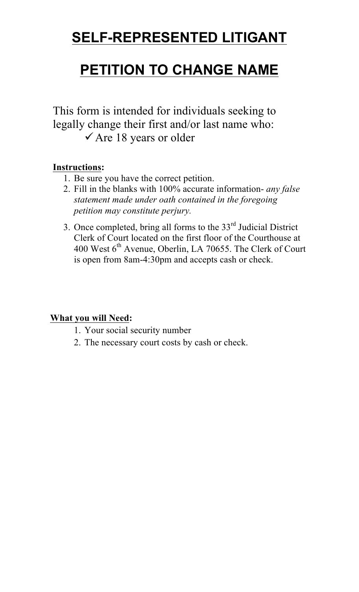# **SELF-REPRESENTED LITIGANT**

# **PETITION TO CHANGE NAME**

This form is intended for individuals seeking to legally change their first and/or last name who:  $\checkmark$  Are 18 years or older

## **Instructions:**

- 1. Be sure you have the correct petition.
- 2. Fill in the blanks with 100% accurate information- *any false statement made under oath contained in the foregoing petition may constitute perjury.*
- 3. Once completed, bring all forms to the 33rd Judicial District Clerk of Court located on the first floor of the Courthouse at 400 West 6<sup>th</sup> Avenue, Oberlin, LA 70655. The Clerk of Court is open from 8am-4:30pm and accepts cash or check.

## **What you will Need:**

- 1. Your social security number
- 2. The necessary court costs by cash or check.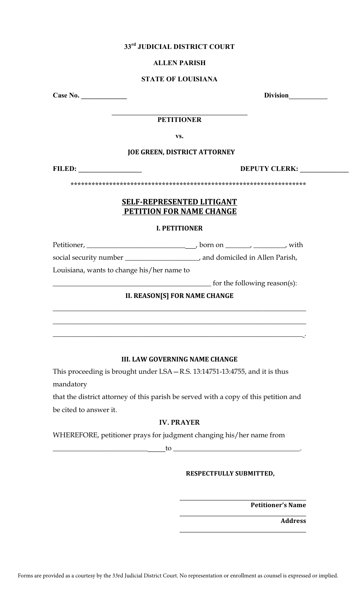## **33rd JUDICIAL DISTRICT COURT**

## **ALLEN PARISH**

## **STATE OF LOUISIANA**

**Case No. \_\_\_\_\_\_\_\_\_\_\_\_\_ Division**

### $\mathcal{L}_\text{max}$  , we can also the contract of the contract of the contract of the contract of the contract of the contract of the contract of the contract of the contract of the contract of the contract of the contract of t **PETITIONER**

**vs.** 

## **JOE GREEN, DISTRICT ATTORNEY**

**FILED: \_\_\_\_\_\_\_\_\_\_\_\_\_\_\_\_\_\_ DEPUTY CLERK: \_\_\_\_\_\_\_\_\_\_\_\_\_\_** 

**\*\*\*\*\*\*\*\*\*\*\*\*\*\*\*\*\*\*\*\*\*\*\*\*\*\*\*\*\*\*\*\*\*\*\*\*\*\*\*\*\*\*\*\*\*\*\*\*\*\*\*\*\*\*\*\*\*\*\*\*\*\*\*\*\*\*\*** 

## **SELF-REPRESENTED LITIGANT PETITION FOR NAME CHANGE**

### **I. PETITIONER**

Petitioner, \_\_\_\_\_\_\_\_\_\_\_\_\_\_\_\_\_\_\_\_\_\_\_\_\_\_\_\_ , born on \_\_\_\_\_\_\_, \_\_\_\_\_\_\_\_\_, with

social security number \_\_\_\_\_\_\_\_\_\_\_\_\_\_\_\_\_\_\_\_\_, and domiciled in Allen Parish,

Louisiana, wants to change his/her name to

\_\_\_\_\_\_\_\_\_\_\_\_\_\_\_\_\_\_\_\_\_\_\_\_\_\_\_\_\_\_\_\_\_\_\_\_\_\_\_\_\_\_\_\_\_ for the following reason(s):

## **II. REASON[S] FOR NAME CHANGE**

\_\_\_\_\_\_\_\_\_\_\_\_\_\_\_\_\_\_\_\_\_\_\_\_\_\_\_\_\_\_\_\_\_\_\_\_\_\_\_\_\_\_\_\_\_\_\_\_\_\_\_\_\_\_\_\_\_\_\_\_\_\_\_\_\_\_\_\_\_\_\_\_

\_\_\_\_\_\_\_\_\_\_\_\_\_\_\_\_\_\_\_\_\_\_\_\_\_\_\_\_\_\_\_\_\_\_\_\_\_\_\_\_\_\_\_\_\_\_\_\_\_\_\_\_\_\_\_\_\_\_\_\_\_\_\_\_\_\_\_\_\_\_\_\_

\_\_\_\_\_\_\_\_\_\_\_\_\_\_\_\_\_\_\_\_\_\_\_\_\_\_\_\_\_\_\_\_\_\_\_\_\_\_\_\_\_\_\_\_\_\_\_\_\_\_\_\_\_\_\_\_\_\_\_\_\_\_\_\_\_\_\_\_\_\_\_ .

## **III. LAW GOVERNING NAME CHANGE**

This proceeding is brought under LSA—R.S. 13:14751-13:4755, and it is thus mandatory

that the district attorney of this parish be served with a copy of this petition and be cited to answer it.

## **IV. PRAYER**

WHEREFORE, petitioner prays for judgment changing his/her name from

 $\longrightarrow$  to  $\longrightarrow$ 

## **RESPECTFULLY SUBMITTED,**

**Petitioner's Name**

**Address**